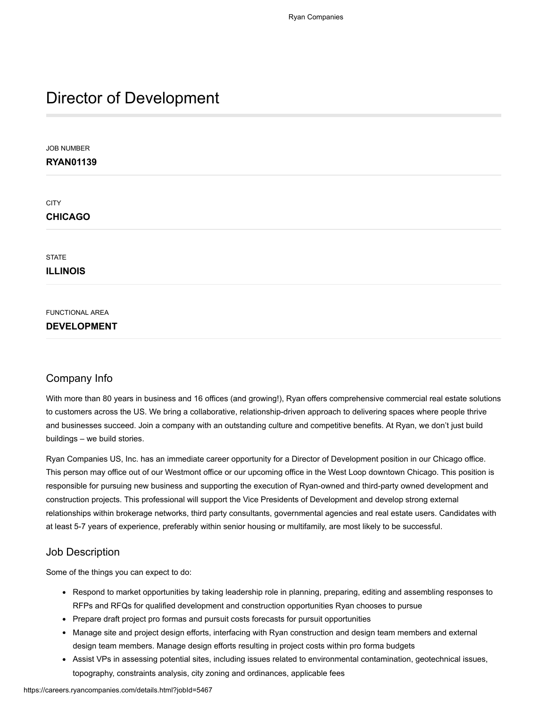# Director of Development

JOB NUMBER **RYAN01139 CITY CHICAGO STATE ILLINOIS** FUNCTIONAL AREA **DEVELOPMENT**

# Company Info

With more than 80 years in business and 16 offices (and growing!), Ryan offers comprehensive commercial real estate solutions to customers across the US. We bring a collaborative, relationship-driven approach to delivering spaces where people thrive and businesses succeed. Join a company with an outstanding culture and competitive benefits. At Ryan, we don't just build buildings – we build stories.

Ryan Companies US, Inc. has an immediate career opportunity for a Director of Development position in our Chicago office. This person may office out of our Westmont office or our upcoming office in the West Loop downtown Chicago. This position is responsible for pursuing new business and supporting the execution of Ryan-owned and third-party owned development and construction projects. This professional will support the Vice Presidents of Development and develop strong external relationships within brokerage networks, third party consultants, governmental agencies and real estate users. Candidates with at least 5-7 years of experience, preferably within senior housing or multifamily, are most likely to be successful.

## Job Description

Some of the things you can expect to do:

- Respond to market opportunities by taking leadership role in planning, preparing, editing and assembling responses to RFPs and RFQs for qualified development and construction opportunities Ryan chooses to pursue
- Prepare draft project pro formas and pursuit costs forecasts for pursuit opportunities
- Manage site and project design efforts, interfacing with Ryan construction and design team members and external design team members. Manage design efforts resulting in project costs within pro forma budgets
- Assist VPs in assessing potential sites, including issues related to environmental contamination, geotechnical issues, topography, constraints analysis, city zoning and ordinances, applicable fees